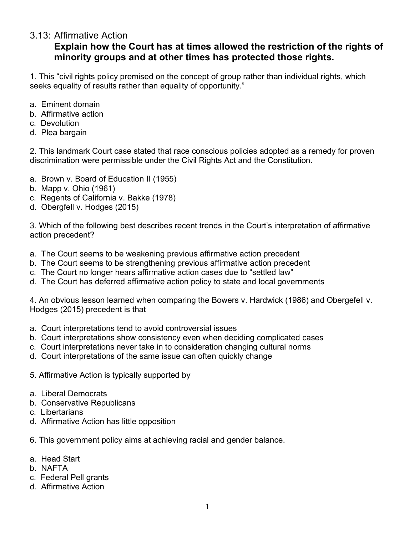## 3.13: Affirmative Action

## **Explain how the Court has at times allowed the restriction of the rights of minority groups and at other times has protected those rights.**

1. This "civil rights policy premised on the concept of group rather than individual rights, which seeks equality of results rather than equality of opportunity."

- a. Eminent domain
- b. Affirmative action
- c. Devolution
- d. Plea bargain

2. This landmark Court case stated that race conscious policies adopted as a remedy for proven discrimination were permissible under the Civil Rights Act and the Constitution.

- a. Brown v. Board of Education II (1955)
- b. Mapp v. Ohio (1961)
- c. Regents of California v. Bakke (1978)
- d. Obergfell v. Hodges (2015)

3. Which of the following best describes recent trends in the Court's interpretation of affirmative action precedent?

- a. The Court seems to be weakening previous affirmative action precedent
- b. The Court seems to be strengthening previous affirmative action precedent
- c. The Court no longer hears affirmative action cases due to "settled law"
- d. The Court has deferred affirmative action policy to state and local governments

4. An obvious lesson learned when comparing the Bowers v. Hardwick (1986) and Obergefell v. Hodges (2015) precedent is that

- a. Court interpretations tend to avoid controversial issues
- b. Court interpretations show consistency even when deciding complicated cases
- c. Court interpretations never take in to consideration changing cultural norms
- d. Court interpretations of the same issue can often quickly change
- 5. Affirmative Action is typically supported by
- a. Liberal Democrats
- b. Conservative Republicans
- c. Libertarians
- d. Affirmative Action has little opposition
- 6. This government policy aims at achieving racial and gender balance.
- a. Head Start
- b. NAFTA
- c. Federal Pell grants
- d. Affirmative Action